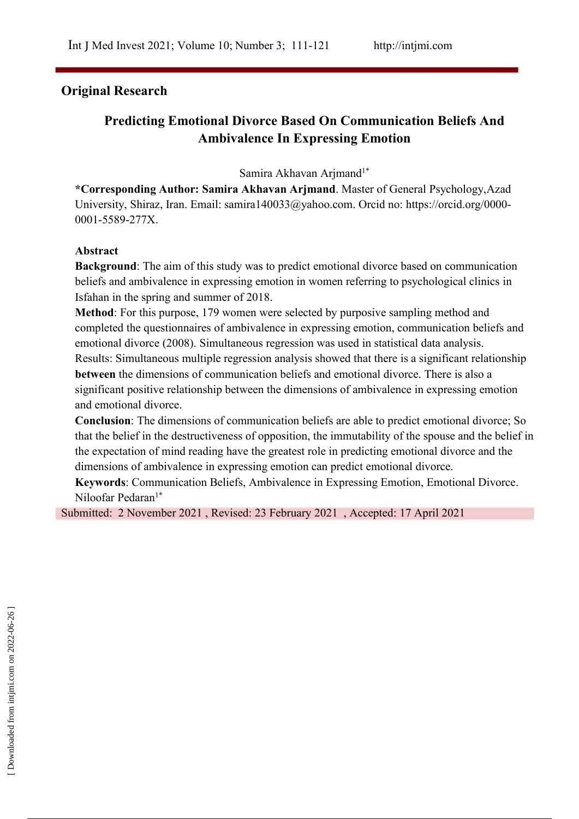# **Original Research**

# **Predicting Emotional Divorce Based On Communication Beliefs And Ambivalence In Expressing Emotion**

Samira Akhavan Arjmand 1\*

**\*Corresponding Author: Samira Akhavan Arjmand**. Master of General Psychology,Azad University, Shiraz, Iran. Email: samira140033@yahoo.com. Orcid no: https://orcid.org/0000- 0001-5589-277X.

### **Abstract**

**Background**: The aim of this study was to predict emotional divorce based on communication beliefs and ambivalence in expressing emotion in women referring to psychological clinics in Isfahan in the spring and summer of 2018.

**Method**: For this purpose, 179 women were selected by purposive sampling method and completed the questionnaires of ambivalence in expressing emotion, communication beliefs and emotional divorce (2008). Simultaneous regression was used in statistical data analysis. Results: Simultaneous multiple regression analysis showed that there is a significant relationship **between** the dimensions of communication beliefs and emotional divorce. There is also a significant positive relationship between the dimensions of ambivalence in expressing emotion and emotional divorce.

**Conclusion:** The dimensions of communication beliefs are able to predict emotional divorce; So that the belief in the destructiveness of opposition, the immutability of the spouse and the belief in the expectation of mind reading have the greatest role in predicting emotional divorce and the dimensions of ambivalence in expressing emotion can predict emotional divorce.

**Keywords**: Communication Beliefs, Ambivalence in Expressing Emotion, Emotional Divorce. Niloofar Pedaran<sup>1\*</sup>

Submitted: 2 November 2021 , Revised:23 February 2021 , Accepted: 17 April 2021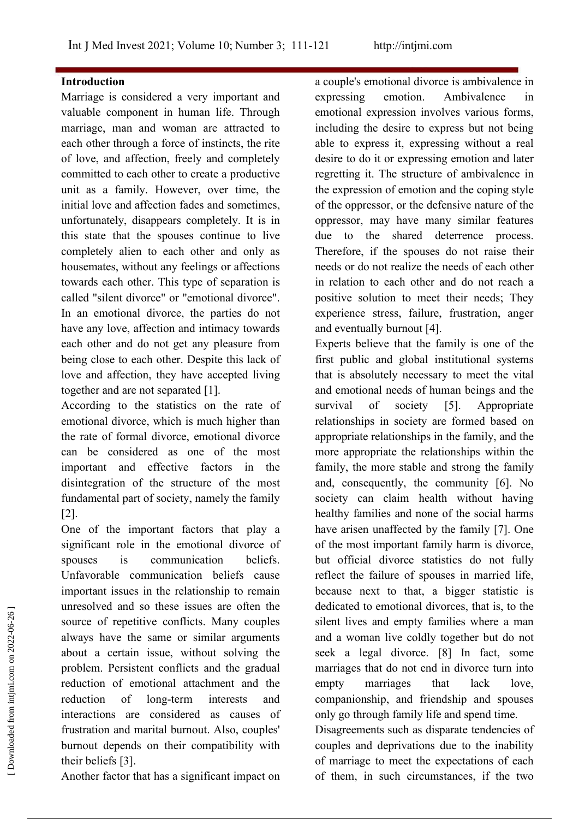#### **Introduction**

Marriage is considered a very important and expressing emotion. valuable component in human life. Through marriage, man and woman are attracted to each other through a force of instincts, the rite of love, and affection, freely and completely committed to each other to create a productive unit as a family. However, over time, the initial love and affection fades and sometimes, unfortunately, disappears completely. It is in this state that the spouses continue to live completely alien to each other and only as housemates, without any feelings or affections towards each other. This type of separation is called "silent divorce" or "emotional divorce". In an emotional divorce, the parties do not have any love, affection and intimacy towards each other and do not get any pleasure from being close to each other. Despite this lack of love and affection, they have accepted living together and are not separated [1].

According to the statistics on the rate of emotional divorce, which is much higher than the rate of formal divorce, emotional divorce can be considered as one of the most important and effective factors in the disintegration of the structure of the most fundamental part of society, namely the family [2].

One of the important factors that play a significant role in the emotional divorce of spouses is communication beliefs. Unfavorable communication beliefs cause important issues in the relationship to remain unresolved and so these issues are often the source of repetitive conflicts. Many couples always have the same or similar arguments about a certain issue, without solving the problem. Persistent conflicts and the gradual reduction of emotional attachment and the interactions are considered as causes of frustration and marital burnout. Also, couples' burnout depends on their compatibility with their beliefs [3]. unresolved and so these issues are often the<br>source of repetitive conflicts. Many couples silent lives and empty families where a man<br>always have the same or similar arguments and a woman live coldly together but do not<br>a

Another factor that has a significant impact on

a couple's emotional divorce is ambivalence in Ambivalence in emotional expression involves various forms, including the desire to express but not being able to express it, expressing without a real desire to do it or expressing emotion and later regretting it. The structure of ambivalence in the expression of emotion and the coping style of the oppressor, or the defensive nature of the oppressor, may have many similar features due to the shared deterrence process. Therefore, if the spouses do not raise their needs or do not realize the needs of each other in relation to each other and do not reach a positive solution to meet their needs; They experience stress, failure, frustration, anger and eventually burnout [4].

reduction of long-term interests and companionship, and friendship and spouses Experts believe that the family is one of the first public and global institutional systems that is absolutely necessary to meet the vital and emotional needs of human beings and the of society [5]. Appropriate relationships in society are formed based on appropriate relationships in the family, and the more appropriate the relationships within the family, the more stable and strong the family and, consequently, the community [6]. No society can claim health without having healthy families and none of the social harms have arisen unaffected by the family [7]. One of the most important family harm is divorce, but official divorce statistics do not fully reflect the failure of spouses in married life, because next to that, a bigger statistic is dedicated to emotional divorces, that is, to the silent lives and empty families where a man and a woman live coldly together but do not seek a legal divorce. [8] In fact, some marriages that do not end in divorce turn into marriages that lack love, only go through family life and spend time.

> Disagreements such as disparate tendencies of couples and deprivations due to the inability of them, in such circumstances, if the two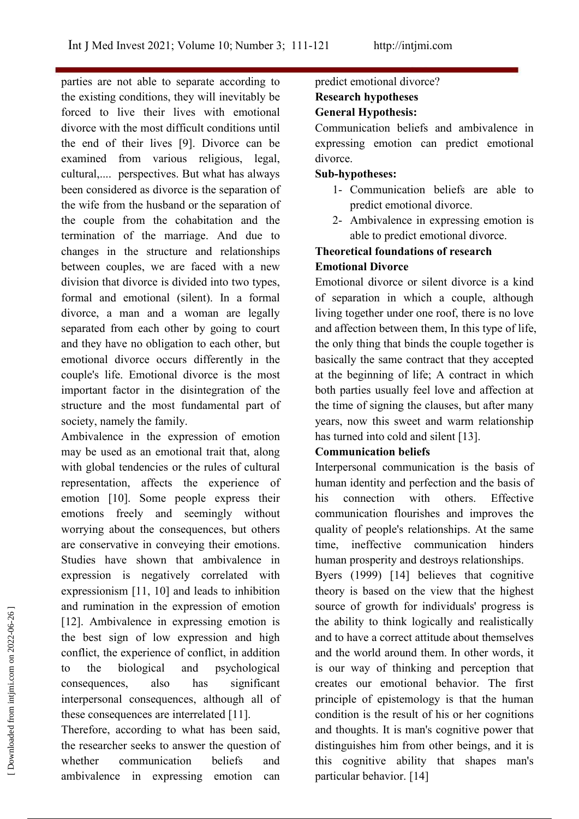parties are not able to separate according to the existing conditions, they will inevitably be forced to live their lives with emotional divorce with the most difficult conditions until the end of their lives [9]. Divorce can be examined from various religious, legal, cultural,.... perspectives. But what has always been considered as divorce is the separation of the wife from the husband or the separation of the couple from the cohabitation and the termination of the marriage. And due to changes in the structure and relationships between couples, we are faced with a new division that divorce is divided into two types, formal and emotional (silent). In a formal divorce, a man and a woman are legally separated from each other by going to court and they have no obligation to each other, but emotional divorce occurs differently in the couple's life. Emotional divorce is the most important factor in the disintegration of the structure and the most fundamental part of society, namely the family.

Ambivalence in the expression of emotion may be used as an emotional trait that, along with global tendencies or the rules of cultural representation, affects the experience of emotion [10]. Some people express their his emotions freely and seemingly without worrying about the consequences, but others are conservative in conveying their emotions. Studies have shown that ambivalence in expression is negatively correlated with expressionism [11, 10] and leads to inhibition and rumination in the expression of emotion [12]. Ambivalence in expressing emotion is the best sign of low expression and high conflict, the experience of conflict, in addition to the biological and psychological consequences, also has significant interpersonal consequences, although all of these consequences are interrelated [11]. and rumination in the expression of emotion<br>
[12]. Ambivalence in expressing emotion is the ability to think logically a<br>
the best sign of low expression and high and to have a correct attitude a<br>
conflict, the experience

Therefore, according to what has been said, the researcher seeks to answer the question of ambivalence in expressing emotion can particular behavior. [14]

# predict emotional divorce? **Research hypotheses**

## **General Hypothesis:**

Communication beliefs and ambivalence in expressing emotion can predict emotional divorce.

### **Sub-hypotheses:**

- 1- Communication beliefs are able to predict emotional divorce.
- 2- Ambivalence in expressing emotion is able to predict emotional divorce.

## **Theoretical foundations ofresearch Emotional Divorce**

Emotional divorce or silent divorce is a kind of separation in which a couple, although living together under one roof, there is no love and affection between them, In this type of life, the only thing that binds the couple together is basically the same contract that they accepted at the beginning of life; A contract in which both parties usually feel love and affection at the time of signing the clauses, but after many years, now this sweet and warm relationship has turned into cold and silent [13].

### **Communication beliefs**

Interpersonal communication is the basis of human identity and perfection and the basis of connection with others. Effective communication flourishes and improves the quality of people's relationships. At the same time, ineffective communication hinders human prosperity and destroys relationships.

whether communication beliefs and this cognitive ability that shapes man's Byers (1999) [14] believes that cognitive theory is based on the view that the highest source of growth for individuals' progress is the ability to think logically and realistically and to have a correct attitude about themselves and the world around them. In other words, it is our way of thinking and perception that creates our emotional behavior. The first principle of epistemology is that the human condition is the result of his or her cognitions and thoughts. It is man's cognitive power that distinguishes him from other beings, and it is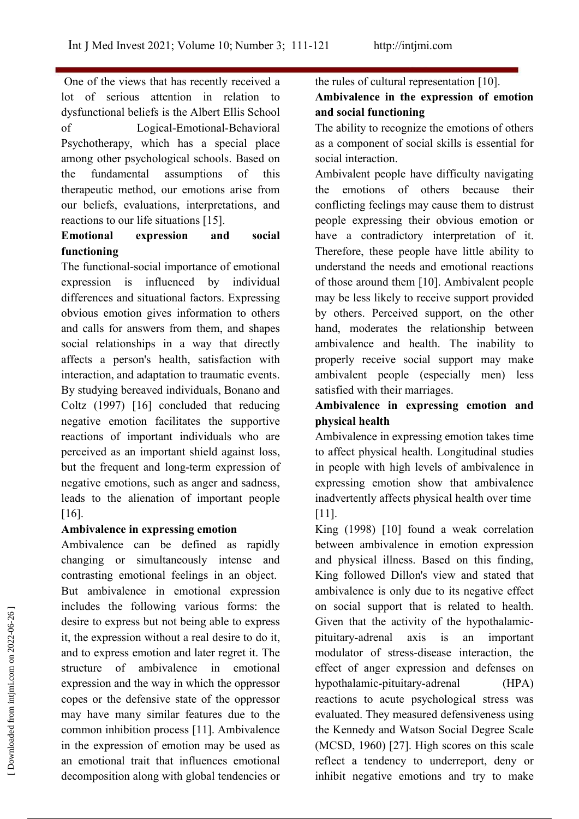One of the views that has recently received a lot of serious attention in relation to dysfunctional beliefs is the Albert Ellis School of Logical-Emotional-Behavioral Psychotherapy, which has a special place among other psychological schools. Based on the fundamental assumptions of this therapeutic method, our emotions arise from our beliefs, evaluations, interpretations, and reactions to our life situations [15].

## **Emotional expression and social functioning**

The functional-social importance of emotional expression is influenced by individual differences and situational factors. Expressing obvious emotion gives information to others and calls for answers from them, and shapes social relationships in a way that directly affects a person's health, satisfaction with interaction, and adaptation to traumatic events. By studying bereaved individuals, Bonano and Coltz (1997) [16] concluded that reducing negative emotion facilitates the supportive reactions of important individuals who are perceived as an important shield against loss, but the frequent and long-term expression of negative emotions, such as anger and sadness, leads to the alienation of important people [16].

### **Ambivalence in expressing emotion**

Ambivalence can be defined as rapidly changing or simultaneously intense and contrasting emotional feelings in an object. But ambivalence in emotional expression includes the following various forms: the desire to express but not being able to express it, the expression without a real desire to do it, and to express emotion and later regret it. The structure of ambivalence in emotional expression and the way in which the oppressor copes or the defensive state of the oppressor may have many similar features due to the common inhibition process [11]. Ambivalence in the expression of emotion may be used as an emotional trait that influences emotional reflect a tendency to underreport, deny or decomposition along with global tendencies or refluences the following various forms: the on social support that is related to health.<br>
desire to express but not being able to express<br>
it, the expression without a real desire to do it,<br>
and to expression and later reg

the rules of cultural representation  $[10]$ . **Ambivalence in the expression of emotion and social functioning**

The ability to recognize the emotions of others as a component of social skills is essential for social interaction.

Ambivalent people have difficulty navigating the emotions of others because their conflicting feelings may cause them to distrust people expressing their obvious emotion or Therefore, these people have little ability to understand the needs and emotional reactions of those around them [10]. Ambivalent people may be less likely to receive support provided by others. Perceived support, on the other hand, moderates the relationship between ambivalence and health. The inability to properly receive social support may make ambivalent people (especially men) less satisfied with their marriages.

## **Ambivalence in expressing emotion and physical health**

Ambivalence in expressing emotion takes time to affect physical health. Longitudinal studies in people with high levels of ambivalence in expressing emotion show that ambivalence inadvertently affects physical health over time [11].

King (1998) [10] found a weak correlation between ambivalence in emotion expression and physical illness. Based on this finding, King followed Dillon's view and stated that ambivalence is only due to its negative effect on social support that is related to health. Given that the activity of the hypothalamic pituitary-adrenal axis is an important modulator of stress-disease interaction, the effect of anger expression and defenses on hypothalamic-pituitary-adrenal (HPA) reactions to acute psychological stress was evaluated. They measured defensiveness using the Kennedy and Watson Social Degree Scale (MCSD, 1960) [27]. High scores on this scale inhibit negative emotions and try to make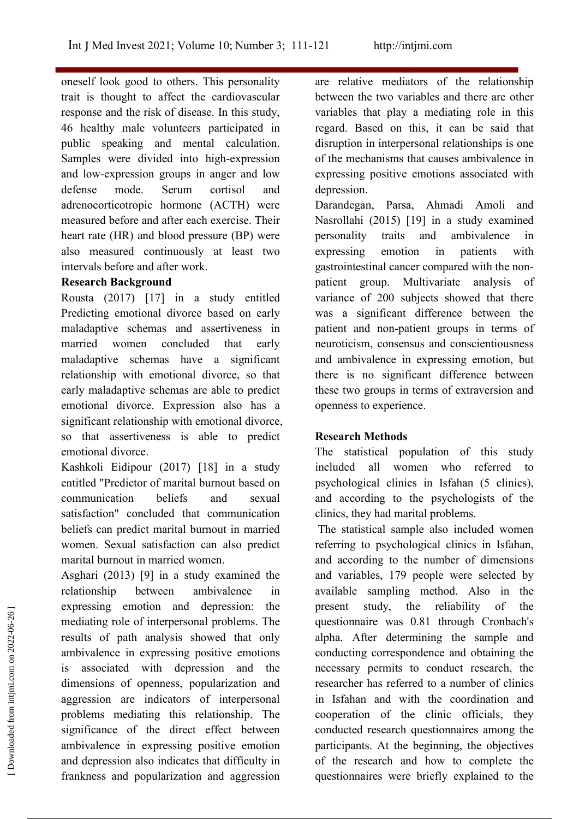oneself look good to others. This personality trait is thought to affect the cardiovascular response and the risk of disease. In this study, 46 healthy male volunteers participated in public speaking and mental calculation. Samples were divided into high-expression and low-expression groups in anger and low defense mode. Serum cortisol and depression. adrenocorticotropic hormone (ACTH) were measured before and after each exercise. Their heart rate (HR) and blood pressure (BP) were personality also measured continuously at least two intervals before and after work.

#### **Research Background**

Rousta (2017) [17] in a study entitled Predicting emotional divorce based on early maladaptive schemas and assertiveness in maladaptive schemas have a significant relationship with emotional divorce, so that early maladaptive schemas are able to predict emotional divorce. Expression also has a significant relationship with emotional divorce, so that assertiveness is able to predict emotional divorce.

Kashkoli Eidipour (2017) [18] in a study entitled "Predictor of marital burnout based on communication beliefs and sexual satisfaction" concluded that communication beliefs can predict marital burnout in married women. Sexual satisfaction can also predict marital burnout in married women.

Asghari (2013) [9] in a study examined the expressing emotion and depression: the mediating role of interpersonal problems. The results of path analysis showed that only ambivalence in expressing positive emotions is associated with depression and the dimensions of openness, popularization and aggression are indicators of interpersonal problems mediating this relationship. The significance of the direct effect between ambivalence in expressing positive emotion and depression also indicates that difficulty in of the research and how to complete the frankness and popularization and aggression expressing emotion and depression: the present study, the reliability of the mediating role of interpersonal problems. The questionnaire was 0.81 through Cronbach's results of path analysis showed that only alpha. After de

are relative mediators of the relationship between the two variables and there are other variables that play a mediating role in this regard. Based on this, it can be said that disruption in interpersonal relationships is one of the mechanisms that causes ambivalence in expressing positive emotions associated with

married women concluded that early neuroticism, consensus and conscientiousness Darandegan, Parsa, Ahmadi Amoli and Nasrollahi (2015) [19] in a study examined traits and ambivalence in expressing emotion in patients with gastrointestinal cancer compared with the non-patient group. Multivariate analysis of variance of 200 subjects showed that there was a significant difference between the patient and non-patient groups in terms of and ambivalence in expressing emotion, but there is no significant difference between these two groups in terms of extraversion and openness to experience.

### **Research Methods**

The statistical population of this study included all women who referred to psychological clinics in Isfahan (5 clinics), and according to the psychologists of the clinics, they had marital problems.

relationship between ambivalence in available sampling method. Also in the The statistical sample also included women referring to psychological clinics in Isfahan, and according to the number of dimensions and variables, 179 people were selected by present study, the reliability of the questionnaire was 0.81 through Cronbach's alpha. After determining the sample and conducting correspondence and obtaining the necessary permits to conduct research, the researcher has referred to a number of clinics in Isfahan and with the coordination and cooperation of the clinic officials, they conducted research questionnaires among the participants. At the beginning, the objectives questionnaires were briefly explained to the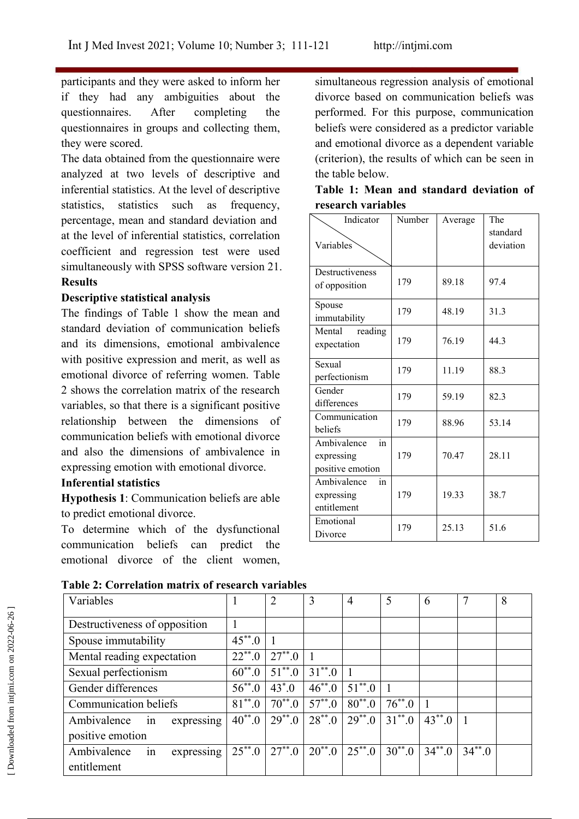participants and they were asked to inform her if they had any ambiguities about the questionnaires. After completing the questionnaires in groups and collecting them, they were scored.

The data obtained from the questionnaire were analyzed at two levels of descriptive and inferential statistics. At the level of descriptive statistics, statistics such as frequency, percentage, mean and standard deviation and at the level of inferential statistics, correlation coefficient and regression test were used simultaneously with SPSS software version 21. **Results**

### **Descriptive statistical analysis**

The findings of Table 1 show the mean and standard deviation of communication beliefs and its dimensions, emotional ambivalence with positive expression and merit, as well as emotional divorce of referring women. Table 2 shows the correlation matrix of the research variables, so that there is a significant positive relationship between the dimensions of communication beliefs with emotional divorce and also the dimensions of ambivalence in expressing emotion with emotional divorce.

#### **Inferential statistics**

**Hypothesis 1**: Communication beliefs are able to predict emotional divorce.

To determine which of the dysfunctional communication beliefs can predict the emotional divorce of the client women,

simultaneous regression analysis of emotional divorce based on communication beliefs was performed. For this purpose, communication beliefs were considered as a predictor variable and emotional divorce as a dependent variable (criterion), the results of which can be seen in the table below.

| Table 1: Mean and standard deviation of |  |  |
|-----------------------------------------|--|--|
| research variables                      |  |  |

| Indicator<br>Variables                              | Number | Average | The<br>standard<br>deviation |  |
|-----------------------------------------------------|--------|---------|------------------------------|--|
| Destructiveness<br>of opposition                    | 179    | 89.18   | 97.4                         |  |
| Spouse<br>immutability                              | 179    | 48.19   | 31.3                         |  |
| Mental<br>reading<br>expectation                    | 179    | 76.19   | 44.3                         |  |
| Sexual<br>perfectionism                             | 179    | 11.19   | 88.3                         |  |
| Gender<br>differences                               | 179    | 59.19   | 82.3                         |  |
| Communication<br>beliefs                            | 179    | 88.96   | 53.14                        |  |
| in<br>Ambivalence<br>expressing<br>positive emotion | 179    | 70.47   | 28.11                        |  |
| Ambivalence<br>in<br>expressing<br>entitlement      | 179    | 19.33   | 38.7                         |  |
| Emotional<br>Divorce                                | 179    | 25.13   | 51.6                         |  |

| Table 2: Correlation matrix of research variables |  |
|---------------------------------------------------|--|
|---------------------------------------------------|--|

| Variables                                        |                        |             |             |                                                       |             | $\mathfrak b$ |             |  |
|--------------------------------------------------|------------------------|-------------|-------------|-------------------------------------------------------|-------------|---------------|-------------|--|
| Destructiveness of opposition                    |                        |             |             |                                                       |             |               |             |  |
| Spouse immutability                              | $45^{**}.0$            |             |             |                                                       |             |               |             |  |
| Mental reading expectation                       | $22^{**}.0$            | $27^{**}.0$ |             |                                                       |             |               |             |  |
| Sexual perfectionism                             | $60^{**}.0$            | $51^{**}.0$ | $31^{**}.0$ |                                                       |             |               |             |  |
| Gender differences                               | $56^{**}.0$            | $43^* . 0$  | $46^{**}.0$ | $51^{**}.0$                                           |             |               |             |  |
| <b>Communication beliefs</b>                     | $81^{**}.0$            | $70^{**}.0$ | $57^{**}.0$ | $80^{**}$ .0                                          | $76^{**}.0$ |               |             |  |
| expressing<br>Ambivalence in<br>positive emotion | $\overline{40}^{**}.0$ | $29^{**}.0$ |             | $28^{**}.0$   $29^{**}.0$   $31^{**}.0$   $43^{**}.0$ |             |               |             |  |
| expressing<br>Ambivalence<br>in<br>entitlement   | $25^{**}.0$            | $27^{**}.0$ | $20^{**}.0$ | $25^{**}.0$                                           | $30^{**}.0$ | $34^{**}.0$   | $34^{**}.0$ |  |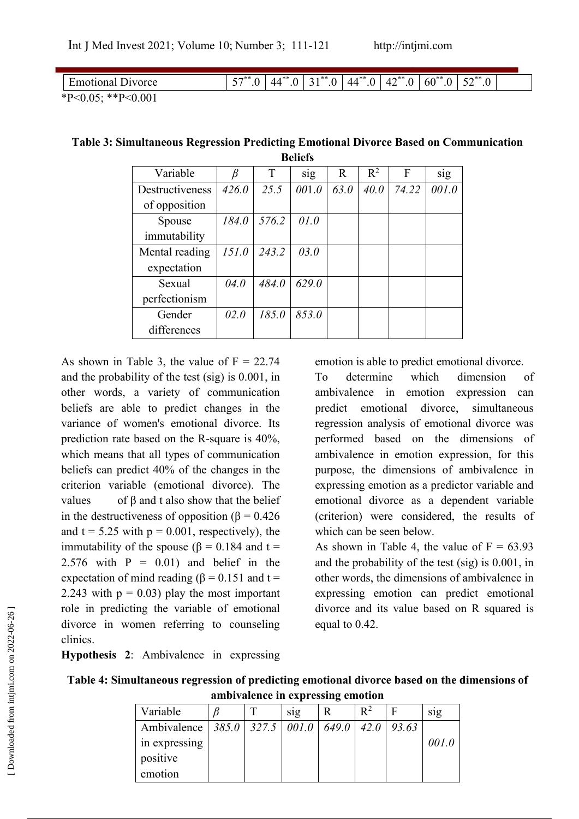| Emotional<br>Jivorce       | $F - \rightarrow$ **<br>$\hspace{.06cm}0 \hspace{.06cm}$<br>◡ | $44***$<br>$\cdot$ $\cdot$ | $A + * *$<br>$\Omega$ | $.44***$<br>0. | $42^{**}.0$ | $60^{**}.0$ | $F^{\ast}$<br>0.0 |  |
|----------------------------|---------------------------------------------------------------|----------------------------|-----------------------|----------------|-------------|-------------|-------------------|--|
| **P< $0.001$<br>$*P<0.05;$ |                                                               |                            |                       |                |             |             |                   |  |

| Variable        | β     | T     | sig   | $\mathbf R$ | $R^2$ | F     | sig   |
|-----------------|-------|-------|-------|-------------|-------|-------|-------|
| Destructiveness | 426.0 | 25.5  | 001.0 | 63.0        | 40.0  | 74.22 | 001.0 |
| of opposition   |       |       |       |             |       |       |       |
| Spouse          | 184.0 | 576.2 | 01.0  |             |       |       |       |
| immutability    |       |       |       |             |       |       |       |
| Mental reading  | 151.0 | 243.2 | 03.0  |             |       |       |       |
| expectation     |       |       |       |             |       |       |       |
| Sexual          | 04.0  | 484.0 | 629.0 |             |       |       |       |
| perfectionism   |       |       |       |             |       |       |       |
| Gender          | 02.0  | 185.0 | 853.0 |             |       |       |       |
| differences     |       |       |       |             |       |       |       |

#### **Table 3: Simultaneous Regression Predicting Emotional Divorce Based on Communication Beliefs**

As shown in Table 3, the value of  $F = 22.74$ and the probability of the test (sig) is 0.001, in To determine other words, a variety of communication beliefs are able to predict changes in the variance of women's emotional divorce. Its prediction rate based on the R-square is  $40\%$ , which means that all types of communication beliefs can predict 40% of the changes in the criterion variable (emotional divorce). The values of  $\beta$  and t also show that the belief in the destructiveness of opposition ( $\beta$  = 0.426 and  $t = 5.25$  with  $p = 0.001$ , respectively), the immutability of the spouse ( $β = 0.184$  and t = 2.576 with  $P = 0.01$  and belief in the expectation of mind reading ( $\beta$  = 0.151 and t = 2.243 with  $p = 0.03$  play the most important role in predicting the variable of emotional divorce in women referring to counseling clinics. positive in predicting the v<br>divorce in women reference<br>clinics.<br>**Hypothesis 2:** Ambive<br>**Table 4: Simultaneous**<br>and **Multaneous**<br>and **Multaneous**<br>in expred<br>in exprediction

emotion is able to predict emotional divorce.

which dimension of ambivalence in emotion expression can predict emotional divorce, simultaneous regression analysis of emotional divorce was performed based on the dimensions of ambivalence in emotion expression, for this purpose, the dimensions of ambivalence in expressing emotion as a predictor variable and emotional divorce as a dependent variable (criterion) were considered, the results of which can be seen below.

As shown in Table 4, the value of  $F = 63.93$ and the probability of the test (sig) is 0.001, in other words, the dimensions of ambivalence in expressing emotion can predict emotional divorce and its value based on R squared is equal to 0.42.

**Hypothesis 2**: Ambivalence in expressing

| Table 4: Simultaneous regression of predicting emotional divorce based on the dimensions of |  |
|---------------------------------------------------------------------------------------------|--|
| ambivalence in expressing emotion                                                           |  |

| Variable                            |  | sig | R     | $\mathbb{R}^2$ | F     | s <sub>1</sub> g |
|-------------------------------------|--|-----|-------|----------------|-------|------------------|
| Ambivalence   385.0   327.5   001.0 |  |     | 649.0 | 42.0           | 93.63 |                  |
| in expressing                       |  |     |       |                |       | 001.0            |
| positive                            |  |     |       |                |       |                  |
| emotion                             |  |     |       |                |       |                  |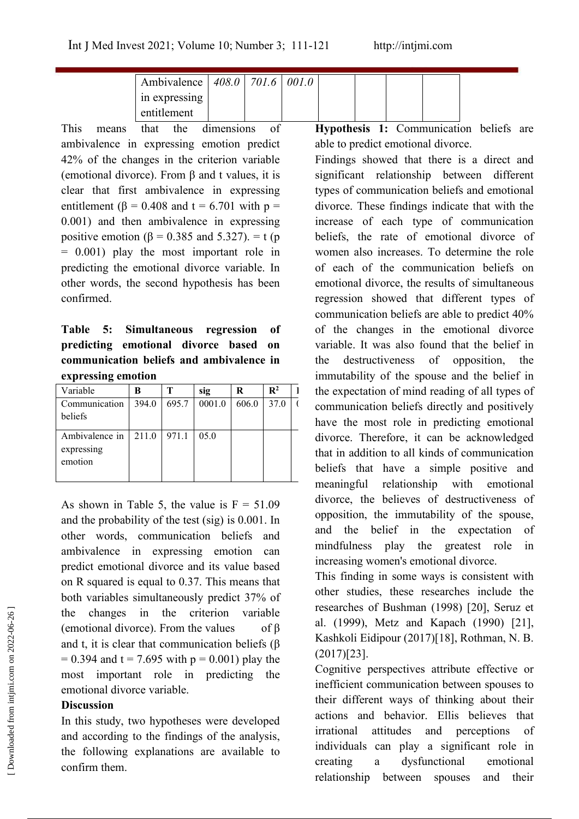| Ambivalence   408.0   701.6   001.0 |  |  |  |
|-------------------------------------|--|--|--|
| in expressing                       |  |  |  |
| entitlement                         |  |  |  |

This means that the dimensions of ambivalence in expressing emotion predict 42% of the changes in the criterion variable (emotional divorce). From β and t values, it is clear that first ambivalence in expressing entitlement ( $\beta$  = 0.408 and t = 6.701 with p = 0.001) and then ambivalence in expressing positive emotion ( $\beta$  = 0.385 and 5.327). = t (p = 0.001) play the most important role in predicting the emotional divorce variable. In other words, the second hypothesis has been confirmed.

**predicting emotional divorce based on communication beliefsand ambivalence in expressing emotion**

| Variable       | B     |       | sig    | R     | $\mathbf{R}^2$ | the expectation of mind reading of all types of |
|----------------|-------|-------|--------|-------|----------------|-------------------------------------------------|
| Communication  | 394.0 | 695.7 | 0001.0 | 606.0 | 37.0           | communication beliefs directly and positively   |
| beliefs        |       |       |        |       |                | have the most role in predicting emotional      |
| Ambivalence in | 211.0 | 971.1 | 05.0   |       |                | divorce. Therefore, it can be acknowledged      |
| expressing     |       |       |        |       |                | that in addition to all kinds of communication  |
| emotion        |       |       |        |       |                | beliefs that have a simple positive and         |
|                |       |       |        |       |                | meaningful relationship with emotional          |

As shown in Table 5, the value is  $F = 51.09$ and the probability of the test(sig) is 0.001. In other words, communication beliefs and ambivalence in expressing emotion can predict emotional divorce and its value based on R squared is equal to 0.37. This means that both variables simultaneously predict 37% of the changes in the criterion variable (emotional divorce). From the values of β and t, it is clear that communication beliefs (β  $= 0.394$  and t = 7.695 with p = 0.001) play the most important role in predicting the emotional divorce variable.

#### **Discussion**

In this study, two hypotheses were developed and according to the findings of the analysis, the following explanations are available to  $\frac{1}{2}$  individuals contained a confirm them.

**Hypothesis 1:** Communication beliefs are able to predict emotional divorce.

**Table 5: Simultaneous regression of** of the changes in the emotional divorce  $394.0 \mid 695.7 \mid 0001.0 \mid 606.0 \mid 37.0 \mid$  communication beliefs directly and positively Findings showed that there is a direct and significant relationship between different types of communication beliefs and emotional divorce. These findings indicate that with the increase of each type of communication beliefs, the rate of emotional divorce of women also increases. To determine the role of each of the communication beliefs on emotional divorce, the results of simultaneous regression showed that different types of communication beliefs are able to predict 40% variable. It was also found that the belief in the destructiveness of opposition, the immutability of the spouse and the belief in have the most role in predicting emotional divorce. Therefore, it can be acknowledged that in addition to all kinds of communication beliefs that have a simple positive and meaningful relationship with emotional divorce, the believes of destructiveness of opposition, the immutability of the spouse, and the belief in the expectation of mindfulness play the greatest role in increasing women's emotional divorce.

> This finding in some ways is consistent with other studies, these researches include the researches of Bushman (1998) [20], Seruz et al. (1999), Metz and Kapach (1990) [21], Kashkoli Eidipour (2017)[18], Rothman, N. B. (2017)[23].

Cognitive perspectives attribute effective or inefficient communication between spouses to their different ways of thinking about their actions and behavior. Ellis believes that irrational attitudes and perceptions of individuals can play a significant role in dysfunctional emotional The changes in the criterion variable<br>
(emotional divorce). From the values of β al. (1999), Metz and Kapach (1990) [21],<br>
and t, it is clear that communication beliefs (β Kashkoli Eidipour (2017)[18], Rothman, N. B.<br>
=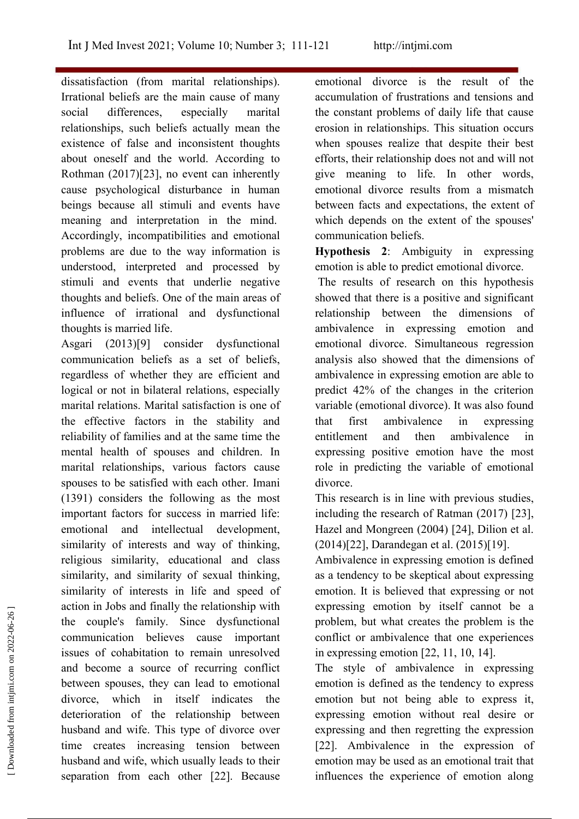dissatisfaction (from marital relationships).<br>Irrational beliefs are the main cause of many social differences, especially marital relationships, such beliefs actually mean the existence of false and inconsistent thoughts about oneself and the world. According to Rothman (2017)[23], no event can inherently cause psychological disturbance in human beings because all stimuli and events have meaning and interpretation in the mind. Accordingly, incompatibilities and emotional problems are due to the way information is understood, interpreted and processed by stimuli and events that underlie negative thoughts and beliefs. One of the main areas of influence of irrational and dysfunctional thoughts is married life.

Asgari (2013)[9] consider dysfunctional communication beliefs as a set of beliefs, regardless of whether they are efficient and logical or not in bilateral relations, especially marital relations. Marital satisfaction is one of the effective factors in the stability and reliability of families and at the same time the mental health of spouses and children. In marital relationships, various factors cause spouses to be satisfied with each other. Imani (1391) considers the following as the most important factors for success in married life: emotional and intellectual development, similarity of interests and way of thinking, religious similarity, educational and class similarity, and similarity of sexual thinking, similarity of interests in life and speed of action in Jobs and finally the relationship with the couple's family. Since dysfunctional communication believes cause important issues of cohabitation to remain unresolved and become a source of recurring conflict between spouses, they can lead to emotional divorce, which in itself indicates the deterioration of the relationship between husband and wife. This type of divorce over time creates increasing tension between husband and wife, which usually leads to their emotion may be used as an emotional trait that separation from each other [22]. Because extion in Jobs and may the relationship with expressing emotion by itself cannot be a<br>the couple's family. Since dysfunctional problem, but what creates the problem is the<br>communication believes cause important conflict or

emotional divorce is the result of the accumulation of frustrations and tensions and the constant problems of daily life that cause erosion in relationships. This situation occurs when spouses realize that despite their best efforts, their relationship doesnot and will not give meaning to life. In other words, emotional divorce results from a mismatch between facts and expectations, the extent of which depends on the extent of the spouses' communication beliefs.

**Hypothesis 2**: Ambiguity in expressing emotion is able to predict emotional divorce.

The results of research on this hypothesis showed that there is a positive and significant relationship between the dimensions of ambivalence in expressing emotion and emotional divorce. Simultaneous regression analysis also showed that the dimensions of ambivalence in expressing emotion are able to predict 42% of the changes in the criterion variable (emotional divorce). It was also found ambivalence in expressing and then ambivalence in expressing positive emotion have the most role in predicting the variable of emotional divorce.

This research is in line with previous studies, including the research of Ratman (2017) [23], Hazel and Mongreen (2004) [24], Dilion et al. (2014)[22], Darandegan et al. (2015)[19].

Ambivalence in expressing emotion is defined as a tendency to be skeptical about expressing emotion. It is believed that expressing or not expressing emotion by itself cannot be a problem, but what creates the problem is the conflict or ambivalence that one experiences in expressing emotion [22, 11, 10, 14].

The style of ambivalence in expressing emotion is defined as the tendency to express emotion but not being able to express it, expressing emotion without real desire or expressing and then regretting the expression [22]. Ambivalence in the expression of influences the experience of emotion along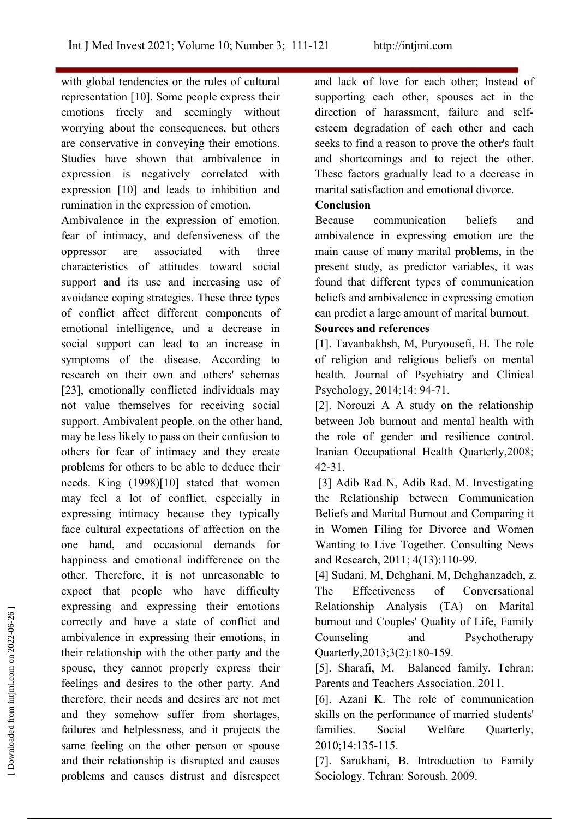with global tendencies or the rules of cultural representation [10]. Some people express their emotions freely and seemingly without worrying about the consequences, but others are conservative in conveying their emotions. Studies have shown that ambivalence in expression is negatively correlated with expression [10] and leads to inhibition and rumination in the expression of emotion.

Ambivalence in the expression of emotion, fear of intimacy, and defensiveness of the oppressor are associated with three main cause of many marital problems, in the characteristics of attitudes toward social support and its use and increasing use of avoidance coping strategies. These three types of conflict affect different components of emotional intelligence, and a decrease in social support can lead to an increase in symptoms of the disease. According to research on their own and others' schemas [23], emotionally conflicted individuals may not value themselves for receiving social support. Ambivalent people, on the other hand, may be less likely to pass on their confusion to others for fear of intimacy and they create problems for others to be able to deduce their needs. King (1998)[10] stated that women may feel a lot of conflict, especially in expressing intimacy because they typically face cultural expectations of affection on the one hand, and occasional demands for happiness and emotional indifference on the other. Therefore, it is not unreasonable to expect that people who have difficulty The Effectiveness expressing and expressing their emotions correctly and have a state of conflict and ambivalence in expressing their emotions, in their relationship with the other party and the spouse, they cannot properly express their feelings and desires to the other party. And therefore, their needs and desires are not met and they somehow suffer from shortages, failures and helplessness, and it projects the families. Social same feeling on the other person or spouse and their relationship is disrupted and causes problems and causes distrust and disrespect Sociology. Tehran: Soroush. 2009. Expressing and expressing their emotions<br>
correctly and have a state of conflict and<br>
their relationship with the other party and the<br>
gestarted from intense in expressing their emotions, in<br>
for their relationship with t

and lack of love for each other; Instead of supporting each other, spouses act in the direction of harassment, failure and self esteem degradation of each other and each seeks to find a reason to prove the other's fault and shortcomings and to reject the other. These factors gradually lead to a decrease in marital satisfaction and emotional divorce.

#### **Conclusion**

communication beliefs and ambivalence in expressing emotion are the present study, as predictor variables, it was found that different types of communication beliefs and ambivalence in expressing emotion can predict a large amount of marital burnout.

### **Sources and references**

[1]. Tavanbakhsh, M, Puryousefi, H. The role of religion and religious beliefs on mental health. Journal of Psychiatry and Clinical Psychology, 2014;14: 94-71.

[2]. Norouzi A  $\overline{A}$  study on the relationship between Job burnout and mental health with the role of gender and resilience control. Iranian Occupational Health Quarterly,2008; 42-31.

[3] Adib Rad N, Adib Rad, M. Investigating the Relationship between Communication Beliefs and Marital Burnout and Comparing it in Women Filing for Divorce and Women Wanting to Live Together. Consulting News and Research, 2011; 4(13):110-99.

[4] Sudani, M, Dehghani, M, Dehghanzadeh, z. of Conversational Relationship Analysis (TA) on Marital burnout and Couples' Quality of Life, Family and Psychotherapy Quarterly,2013;3(2):180-159.

[5]. Sharafi, M. Balanced family. Tehran: Parents and Teachers Association. 2011.

[6]. Azani K. The role of communication skills on the performance of married students' Welfare Ouarterly, 2010;14:135-115.

[7]. Sarukhani, B. Introduction to Family